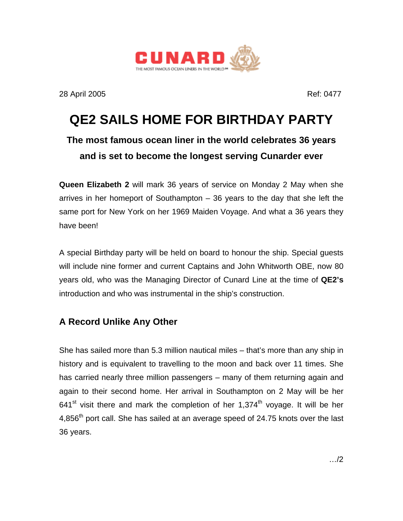

28 April 2005 Ref: 0477

## **QE2 SAILS HOME FOR BIRTHDAY PARTY**

## **The most famous ocean liner in the world celebrates 36 years and is set to become the longest serving Cunarder ever**

**Queen Elizabeth 2** will mark 36 years of service on Monday 2 May when she arrives in her homeport of Southampton – 36 years to the day that she left the same port for New York on her 1969 Maiden Voyage. And what a 36 years they have been!

A special Birthday party will be held on board to honour the ship. Special guests will include nine former and current Captains and John Whitworth OBE, now 80 years old, who was the Managing Director of Cunard Line at the time of **QE2's** introduction and who was instrumental in the ship's construction.

## **A Record Unlike Any Other**

She has sailed more than 5.3 million nautical miles – that's more than any ship in history and is equivalent to travelling to the moon and back over 11 times. She has carried nearly three million passengers – many of them returning again and again to their second home. Her arrival in Southampton on 2 May will be her  $641<sup>st</sup>$  visit there and mark the completion of her 1,374<sup>th</sup> voyage. It will be her 4,856<sup>th</sup> port call. She has sailed at an average speed of 24.75 knots over the last 36 years.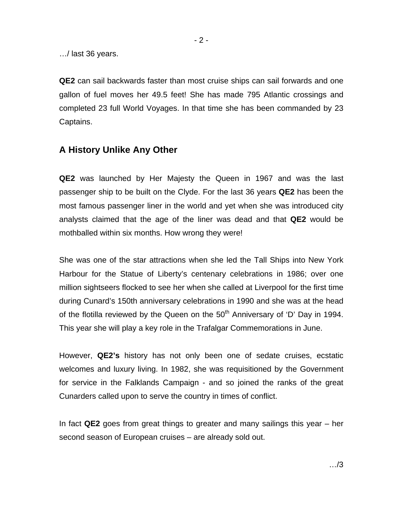**QE2** can sail backwards faster than most cruise ships can sail forwards and one gallon of fuel moves her 49.5 feet! She has made 795 Atlantic crossings and completed 23 full World Voyages. In that time she has been commanded by 23 Captains.

### **A History Unlike Any Other**

**QE2** was launched by Her Majesty the Queen in 1967 and was the last passenger ship to be built on the Clyde. For the last 36 years **QE2** has been the most famous passenger liner in the world and yet when she was introduced city analysts claimed that the age of the liner was dead and that **QE2** would be mothballed within six months. How wrong they were!

She was one of the star attractions when she led the Tall Ships into New York Harbour for the Statue of Liberty's centenary celebrations in 1986; over one million sightseers flocked to see her when she called at Liverpool for the first time during Cunard's 150th anniversary celebrations in 1990 and she was at the head of the flotilla reviewed by the Queen on the  $50<sup>th</sup>$  Anniversary of 'D' Day in 1994. This year she will play a key role in the Trafalgar Commemorations in June.

However, **QE2's** history has not only been one of sedate cruises, ecstatic welcomes and luxury living. In 1982, she was requisitioned by the Government for service in the Falklands Campaign - and so joined the ranks of the great Cunarders called upon to serve the country in times of conflict.

In fact **QE2** goes from great things to greater and many sailings this year – her second season of European cruises – are already sold out.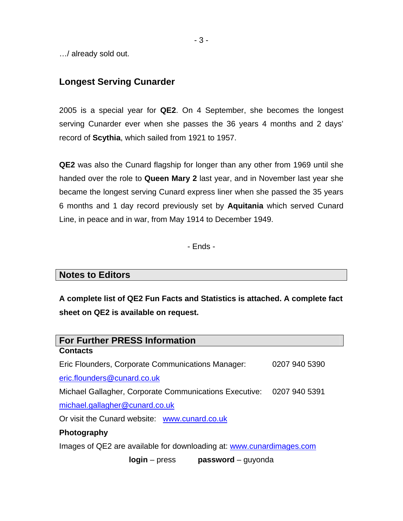…/ already sold out.

### **Longest Serving Cunarder**

2005 is a special year for **QE2**. On 4 September, she becomes the longest serving Cunarder ever when she passes the 36 years 4 months and 2 days' record of **Scythia**, which sailed from 1921 to 1957.

**QE2** was also the Cunard flagship for longer than any other from 1969 until she handed over the role to **Queen Mary 2** last year, and in November last year she became the longest serving Cunard express liner when she passed the 35 years 6 months and 1 day record previously set by **Aquitania** which served Cunard Line, in peace and in war, from May 1914 to December 1949.

- Ends -

#### **Notes to Editors**

**A complete list of QE2 Fun Facts and Statistics is attached. A complete fact sheet on QE2 is available on request.** 

| <b>For Further PRESS Information</b>                                 |               |  |
|----------------------------------------------------------------------|---------------|--|
| <b>Contacts</b>                                                      |               |  |
| Eric Flounders, Corporate Communications Manager:                    | 0207 940 5390 |  |
| eric.flounders@cunard.co.uk                                          |               |  |
| Michael Gallagher, Corporate Communications Executive: 0207 940 5391 |               |  |
| michael.gallagher@cunard.co.uk                                       |               |  |
| Or visit the Cunard website: www.cunard.co.uk                        |               |  |
| <b>Photography</b>                                                   |               |  |
| Images of QE2 are available for downloading at: www.cunardimages.com |               |  |
| $password - quyonda$<br><b>login</b> – press                         |               |  |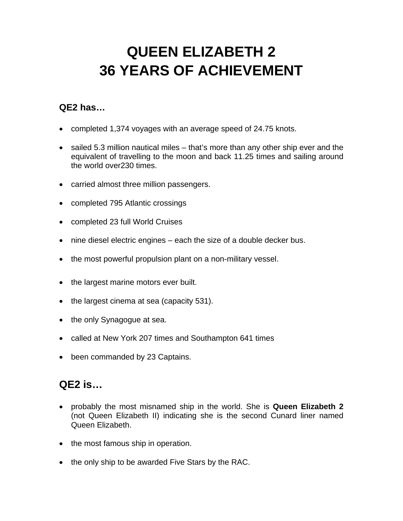# **QUEEN ELIZABETH 2 36 YEARS OF ACHIEVEMENT**

## **QE2 has…**

- completed 1,374 voyages with an average speed of 24.75 knots.
- sailed 5.3 million nautical miles that's more than any other ship ever and the equivalent of travelling to the moon and back 11.25 times and sailing around the world over230 times.
- carried almost three million passengers.
- completed 795 Atlantic crossings
- completed 23 full World Cruises
- nine diesel electric engines each the size of a double decker bus.
- the most powerful propulsion plant on a non-military vessel.
- the largest marine motors ever built.
- the largest cinema at sea (capacity 531).
- the only Synagogue at sea.
- called at New York 207 times and Southampton 641 times
- been commanded by 23 Captains.

## **QE2 is…**

- probably the most misnamed ship in the world. She is **Queen Elizabeth 2** (not Queen Elizabeth II) indicating she is the second Cunard liner named Queen Elizabeth.
- the most famous ship in operation.
- the only ship to be awarded Five Stars by the RAC.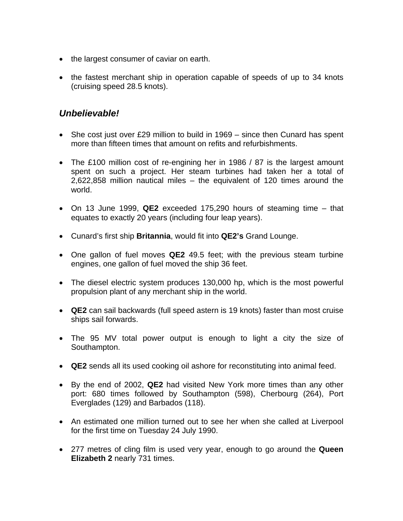- the largest consumer of caviar on earth.
- the fastest merchant ship in operation capable of speeds of up to 34 knots (cruising speed 28.5 knots).

### *Unbelievable!*

- She cost just over £29 million to build in 1969 since then Cunard has spent more than fifteen times that amount on refits and refurbishments.
- The £100 million cost of re-engining her in 1986 / 87 is the largest amount spent on such a project. Her steam turbines had taken her a total of 2,622,858 million nautical miles – the equivalent of 120 times around the world.
- On 13 June 1999, **QE2** exceeded 175,290 hours of steaming time that equates to exactly 20 years (including four leap years).
- Cunard's first ship **Britannia**, would fit into **QE2's** Grand Lounge.
- One gallon of fuel moves **QE2** 49.5 feet; with the previous steam turbine engines, one gallon of fuel moved the ship 36 feet.
- The diesel electric system produces 130,000 hp, which is the most powerful propulsion plant of any merchant ship in the world.
- **QE2** can sail backwards (full speed astern is 19 knots) faster than most cruise ships sail forwards.
- The 95 MV total power output is enough to light a city the size of Southampton.
- **QE2** sends all its used cooking oil ashore for reconstituting into animal feed.
- By the end of 2002, **QE2** had visited New York more times than any other port: 680 times followed by Southampton (598), Cherbourg (264), Port Everglades (129) and Barbados (118).
- An estimated one million turned out to see her when she called at Liverpool for the first time on Tuesday 24 July 1990.
- 277 metres of cling film is used very year, enough to go around the **Queen Elizabeth 2** nearly 731 times.